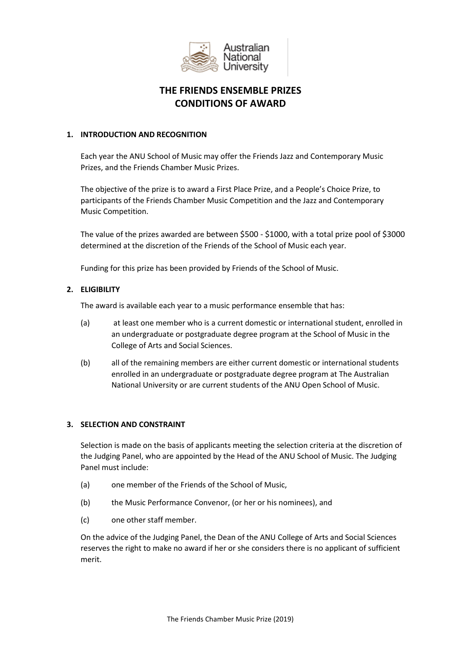

# **THE FRIENDS ENSEMBLE PRIZES CONDITIONS OF AWARD**

## **1. INTRODUCTION AND RECOGNITION**

Each year the ANU School of Music may offer the Friends Jazz and Contemporary Music Prizes, and the Friends Chamber Music Prizes.

The objective of the prize is to award a First Place Prize, and a People's Choice Prize, to participants of the Friends Chamber Music Competition and the Jazz and Contemporary Music Competition.

The value of the prizes awarded are between \$500 - \$1000, with a total prize pool of \$3000 determined at the discretion of the Friends of the School of Music each year.

Funding for this prize has been provided by Friends of the School of Music.

# **2. ELIGIBILITY**

The award is available each year to a music performance ensemble that has:

- (a) at least one member who is a current domestic or international student, enrolled in an undergraduate or postgraduate degree program at the School of Music in the College of Arts and Social Sciences.
- (b) all of the remaining members are either current domestic or international students enrolled in an undergraduate or postgraduate degree program at The Australian National University or are current students of the ANU Open School of Music.

# **3. SELECTION AND CONSTRAINT**

Selection is made on the basis of applicants meeting the selection criteria at the discretion of the Judging Panel, who are appointed by the Head of the ANU School of Music. The Judging Panel must include:

- (a) one member of the Friends of the School of Music,
- (b) the Music Performance Convenor, (or her or his nominees), and
- (c) one other staff member.

On the advice of the Judging Panel, the Dean of the ANU College of Arts and Social Sciences reserves the right to make no award if her or she considers there is no applicant of sufficient merit.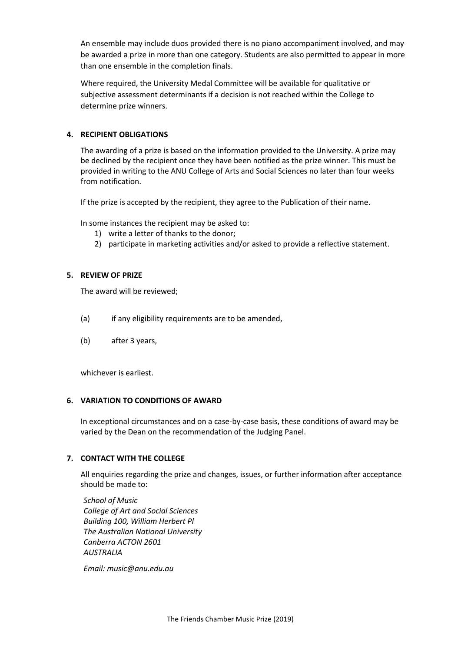An ensemble may include duos provided there is no piano accompaniment involved, and may be awarded a prize in more than one category. Students are also permitted to appear in more than one ensemble in the completion finals.

Where required, the University Medal Committee will be available for qualitative or subjective assessment determinants if a decision is not reached within the College to determine prize winners.

### **4. RECIPIENT OBLIGATIONS**

The awarding of a prize is based on the information provided to the University. A prize may be declined by the recipient once they have been notified as the prize winner. This must be provided in writing to the ANU College of Arts and Social Sciences no later than four weeks from notification.

If the prize is accepted by the recipient, they agree to the Publication of their name.

In some instances the recipient may be asked to:

- 1) write a letter of thanks to the donor;
- 2) participate in marketing activities and/or asked to provide a reflective statement.

## **5. REVIEW OF PRIZE**

The award will be reviewed;

- (a) if any eligibility requirements are to be amended,
- (b) after 3 years,

whichever is earliest.

#### **6. VARIATION TO CONDITIONS OF AWARD**

In exceptional circumstances and on a case-by-case basis, these conditions of award may be varied by the Dean on the recommendation of the Judging Panel.

# **7. CONTACT WITH THE COLLEGE**

All enquiries regarding the prize and changes, issues, or further information after acceptance should be made to:

*School of Music College of Art and Social Sciences Building 100, William Herbert Pl The Australian National University Canberra ACTON 2601 AUSTRALIA*

*Email: music@anu.edu.au*